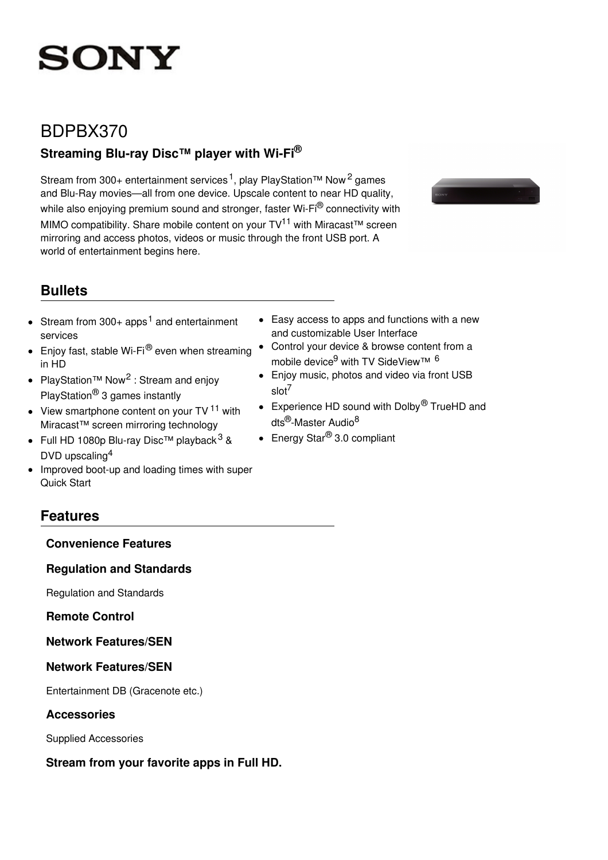# **SONY**

# BDPBX370

# **Streaming Blu-ray Disc™ player with Wi-Fi®**

Stream from 300+ entertainment services<sup>1</sup>, play PlayStation™ Now<sup>2</sup> games and Blu-Ray movies—all from one device. Upscale content to near HD quality, while also enjoying premium sound and stronger, faster Wi-Fi® connectivity with MIMO compatibility. Share mobile content on your TV<sup>11</sup> with Miracast™ screen mirroring and access photos, videos or music through the front USB port. A world of entertainment begins here.



# **Bullets**

- Stream from 300+ apps<sup>1</sup> and entertainment  $\bullet$ services
- **Enjoy fast, stable Wi-Fi**® even when streaming in HD
- PlayStation<sup>™</sup> Now<sup>2</sup>: Stream and enjoy PlayStation® 3 games instantly
- View smartphone content on your TV<sup>11</sup> with Miracast™ screen mirroring technology
- Full HD 1080p Blu-ray Disc™ playback<sup>3</sup> & DVD upscaling<sup>4</sup>
- Improved boot-up and loading times with super  $\bullet$ Quick Start
- Easy access to apps and functions with a new and customizable User Interface
- Control your device & browse content from a mobile device<sup>9</sup> with TV SideView™ <sup>6</sup>
- Enjoy music, photos and video via front USB slot 7
- Experience HD sound with Dolby<sup>®</sup> TrueHD and dts<sup>®</sup>-Master Audio<sup>8</sup>
- $\bullet$  Energy Star $^{\circledR}$  3.0 compliant

# **Features**

### **Convenience Features**

### **Regulation and Standards**

Regulation and Standards

### **Remote Control**

# **Network Features/SEN**

# **Network Features/SEN**

Entertainment DB (Gracenote etc.)

### **Accessories**

Supplied Accessories

# **Stream from your favorite apps in Full HD.**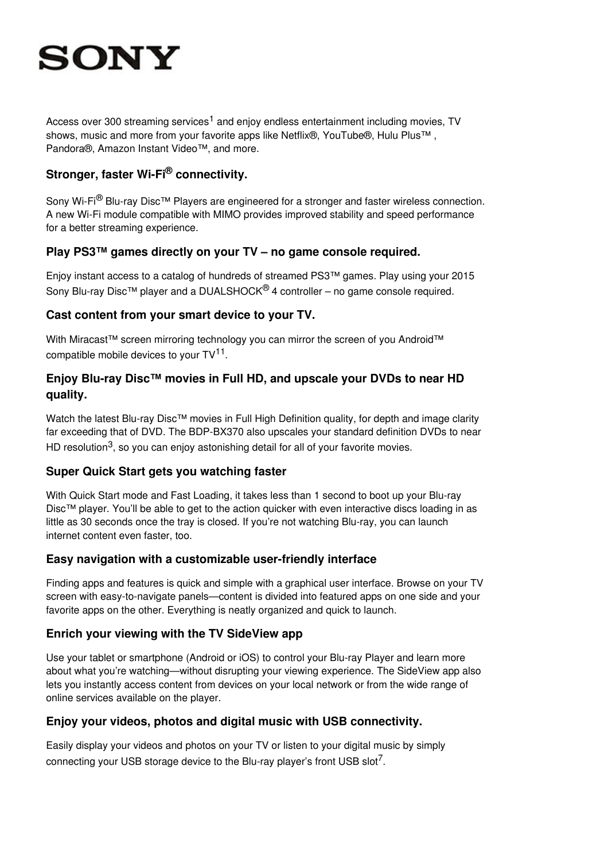# **SONY**

Access over 300 streaming services<sup>1</sup> and enjoy endless entertainment including movies, TV shows, music and more from your favorite apps like Netflix®, YouTube®, Hulu Plus™ , Pandora®, Amazon Instant Video™, and more.

# **Stronger, faster Wi-Fi ® connectivity.**

Sony Wi-Fi<sup>®</sup> Blu-ray Disc<sup>™</sup> Players are engineered for a stronger and faster wireless connection. A new Wi-Fi module compatible with MIMO provides improved stability and speed performance for a better streaming experience.

## **Play PS3™ games directly on your TV – no game console required.**

Enjoy instant access to a catalog of hundreds of streamed PS3™ games. Play using your 2015 Sony Blu-ray Disc<sup>TM</sup> player and a DUALSHOCK<sup>®</sup> 4 controller – no game console required.

## **Cast content from your smart device to your TV.**

With Miracast™ screen mirroring technology you can mirror the screen of you Android™ compatible mobile devices to your  $TV^{11}$ .

# **Enjoy Blu-ray Disc™ movies in Full HD, and upscale your DVDs to near HD quality.**

Watch the latest Blu-ray Disc™ movies in Full High Definition quality, for depth and image clarity far exceeding that of DVD. The BDP-BX370 also upscales your standard definition DVDs to near HD resolution<sup>3</sup>, so you can enjoy astonishing detail for all of your favorite movies.

# **Super Quick Start gets you watching faster**

With Quick Start mode and Fast Loading, it takes less than 1 second to boot up your Blu-ray Disc™ player. You'll be able to get to the action quicker with even interactive discs loading in as little as 30 seconds once the tray is closed. If you're not watching Blu-ray, you can launch internet content even faster, too.

# **Easy navigation with a customizable user-friendly interface**

Finding apps and features is quick and simple with a graphical user interface. Browse on your TV screen with easy-to-navigate panels—content is divided into featured apps on one side and your favorite apps on the other. Everything is neatly organized and quick to launch.

# **Enrich your viewing with the TV SideView app**

Use your tablet or smartphone (Android or iOS) to control your Blu-ray Player and learn more about what you're watching—without disrupting your viewing experience. The SideView app also lets you instantly access content from devices on your local network or from the wide range of online services available on the player.

# **Enjoy your videos, photos and digital music with USB connectivity.**

Easily display your videos and photos on your TV or listen to your digital music by simply connecting your USB storage device to the Blu-ray player's front USB slot<sup>7</sup>.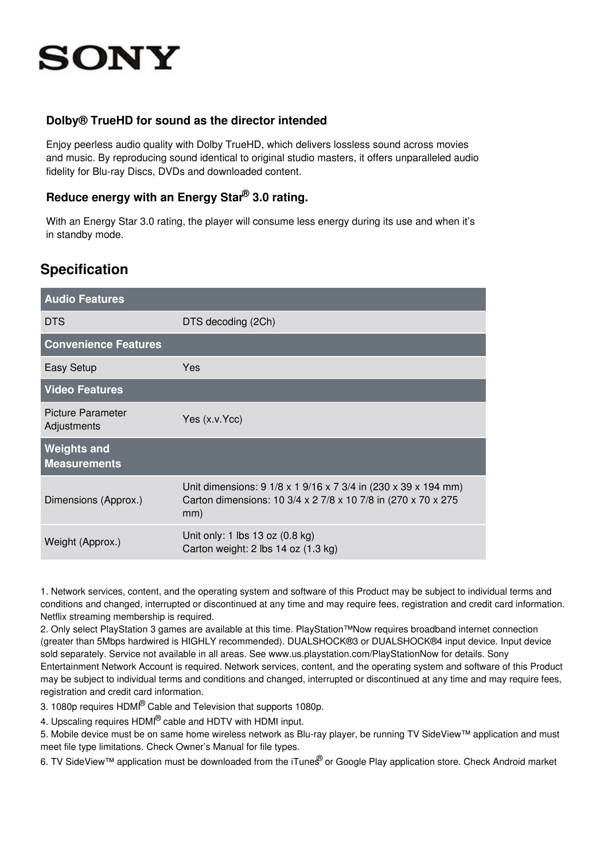# **SONY**

### **Dolby® TrueHD for sound as the director intended**

Enjoy peerless audio quality with Dolby TrueHD, which delivers lossless sound across movies and music. By reproducing sound identical to original studio masters, it offers unparalleled audio fidelity for Blu-ray Discs, DVDs and downloaded content.

# **Reduce energy with an Energy Star ® 3.0 rating.**

With an Energy Star 3.0 rating, the player will consume less energy during its use and when it's in standby mode.

# **Specification**

| <b>Audio Features</b>                     |                                                                                                                                         |
|-------------------------------------------|-----------------------------------------------------------------------------------------------------------------------------------------|
| <b>DTS</b>                                | DTS decoding (2Ch)                                                                                                                      |
| <b>Convenience Features</b>               |                                                                                                                                         |
| Easy Setup                                | <b>Yes</b>                                                                                                                              |
| <b>Video Features</b>                     |                                                                                                                                         |
| <b>Picture Parameter</b><br>Adjustments   | Yes (x.v.Ycc)                                                                                                                           |
| <b>Weights and</b><br><b>Measurements</b> |                                                                                                                                         |
| Dimensions (Approx.)                      | Unit dimensions: 9 1/8 x 1 9/16 x 7 3/4 in (230 x 39 x 194 mm)<br>Carton dimensions: 10 3/4 x 2 7/8 x 10 7/8 in (270 x 70 x 275)<br>mm) |
| Weight (Approx.)                          | Unit only: 1 lbs 13 oz (0.8 kg)<br>Carton weight: 2 lbs 14 oz (1.3 kg)                                                                  |

1. Network services, content, and the operating system and software of this Product may be subject to individual terms and conditions and changed, interrupted or discontinued at any time and may require fees, registration and credit card information. Netflix streaming membership is required.

2. Only select PlayStation 3 games are available at this time. PlayStation™Now requires broadband internet connection (greater than 5Mbps hardwired is HIGHLY recommended). DUALSHOCK®3 or DUALSHOCK®4 input device. Input device sold separately. Service not available in all areas. See www.us.playstation.com/PlayStationNow for details. Sony Entertainment Network Account is required. Network services, content, and the operating system and software of this Product may be subject to individual terms and conditions and changed, interrupted or discontinued at any time and may require fees, registration and credit card information.

3. 1080p requires HDMI® Cable and Television that supports 1080p.

4. Upscaling requires HDMI® cable and HDTV with HDMI input.

5. Mobile device must be on same home wireless network as Blu-ray player, be running TV SideView™ application and must meet file type limitations. Check Owner's Manual for file types.

6. TV SideView™ application must be downloaded from the iTunes® or Google Play application store. Check Android market